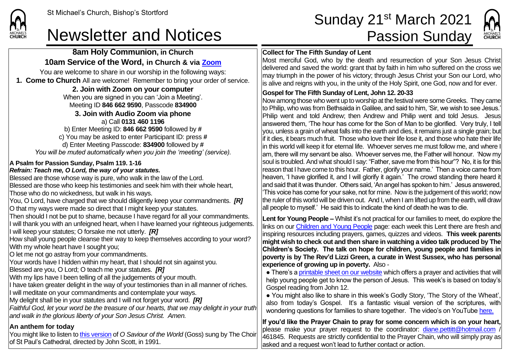**CHURCH** 

## Newsletter and Notices **Passion Sunday**

### **8am Holy Communion, in Church 10am Service of the Word, in Church & via [Zoom](https://zoom.us/)**

You are welcome to share in our worship in the following ways: **1. Come to Church** All are welcome! Remember to bring your order of service.

### **2. Join with Zoom on your computer**

When you are signed in you can 'Join a Meeting'. Meeting ID **846 662 9590**, Passcode **834900 3. Join with Audio Zoom via phone**  a) Call **0131 460 1196** b) Enter Meeting ID: **846 662 9590** followed by **#** c) You may be asked to enter Participant ID: press **#** d) Enter Meeting Passcode: **834900** followed by **#**

*You will be muted automatically when you join the 'meeting' (service).*

### **A Psalm for Passion Sunday, Psalm 119. 1-16**

#### *Refrain: Teach me, O Lord, the way of your statutes.* Blessed are those whose way is pure, who walk in the law of the Lord.

Blessed are those who keep his testimonies and seek him with their whole heart, Those who do no wickedness, but walk in his ways.

You, O Lord, have charged that we should diligently keep your commandments. *[R]* O that my ways were made so direct that I might keep your statutes.

Then should I not be put to shame, because I have regard for all your commandments. I will thank you with an unfeigned heart, when I have learned your righteous judgements. I will keep your statutes; O forsake me not utterly. *[R]*

How shall young people cleanse their way to keep themselves according to your word? With my whole heart have I sought you;

O let me not go astray from your commandments.

Your words have I hidden within my heart, that I should not sin against you.

Blessed are you, O Lord; O teach me your statutes. *[R]*

With my lips have I been telling of all the judgements of your mouth.

If have taken greater delight in the way of your testimonies than in all manner of riches.

I will meditate on your commandments and contemplate your ways.

My delight shall be in your statutes and I will not forget your word. *[R]*

*Faithful God, let your word be the treasure of our hearts, that we may delight in your truth and walk in the glorious liberty of your Son Jesus Christ. Amen.*

### **An anthem for today**

You might like to listen to [this version](https://www.youtube.com/watch?v=0QLS98Y47Vs) of *O Saviour of the World* (Goss) sung by The Choir of St Paul's Cathedral, directed by John Scott, in 1991.

# St Michael's Church, Bishop's Stortford **Sunday 21<sup>st</sup> March 2021**



### **Collect for The Fifth Sunday of Lent**

Most merciful God, who by the death and resurrection of your Son Jesus Christ delivered and saved the world: grant that by faith in him who suffered on the cross we may triumph in the power of his victory; through Jesus Christ your Son our Lord, who is alive and reigns with you, in the unity of the Holy Spirit, one God, now and for ever.

### **Gospel for The Fifth Sunday of Lent, John 12. 20-33**

Now among those who went up to worship at the festival were some Greeks. They came to Philip, who was from Bethsaida in Galilee, and said to him, 'Sir, we wish to see Jesus.' Philip went and told Andrew; then Andrew and Philip went and told Jesus. Jesus answered them, 'The hour has come for the Son of Man to be glorified. Very truly, I tell you, unless a grain of wheat falls into the earth and dies, it remains just a single grain; but if it dies, it bears much fruit. Those who love their life lose it, and those who hate their life in this world will keep it for eternal life. Whoever serves me must follow me, and where I am, there will my servant be also. Whoever serves me, the Father will honour. 'Now my soul is troubled. And what should I say: "Father, save me from this hour"? No, it is for this reason that I have come to this hour. Father, glorify your name.' Then a voice came from heaven, 'I have glorified it, and I will glorify it again.' The crowd standing there heard it and said that it was thunder. Others said, 'An angel has spoken to him.' Jesus answered, 'This voice has come for your sake, not for mine. Now is the judgement of this world; now the ruler of this world will be driven out. And I, when I am lifted up from the earth, will draw all people to myself.' He said this to indicate the kind of death he was to die.

**Lent for Young People –** Whilst it's not practical for our families to meet, do explore the links on ou[r Children and Young People](https://saintmichaelweb.org.uk/Groups/310496/Children_and_Young.aspx) page: each week this Lent there are fresh and inspiring resources including prayers, games, quizzes and videos. **This week parents might wish to check out and then share in watching a video talk produced by The Children's Society. The talk on hope for children, young people and families in poverty is by The Rev'd Lizzi Green, a curate in West Sussex, who has personal experience of growing up in poverty.** Also -

• There's [a printable sheet on our website](https://saintmichaelweb.org.uk/Groups/310496/Children_and_Young.aspx) which offers a prayer and activities that will help young people get to know the person of Jesus. This week's is based on today's Gospel reading from John 12.

● You might also like to share in this week's Godly Story, 'The Story of the Wheat', also from today's Gospel. It's a fantastic visual version of the scriptures, with wondering questions for families to share together. The video's on YouTube [here.](https://www.youtube.com/watch?v=FUhvl-1UOxU)

**If you'd like the Prayer Chain to pray for some concern which is on your heart,** please make your prayer request to the coordinator: [diane.pettitt@hotmail.com](mailto:diane.pettitt@hotmail.com), 461845. Requests are strictly confidential to the Prayer Chain, who will simply pray as asked and a request won't lead to further contact or action.